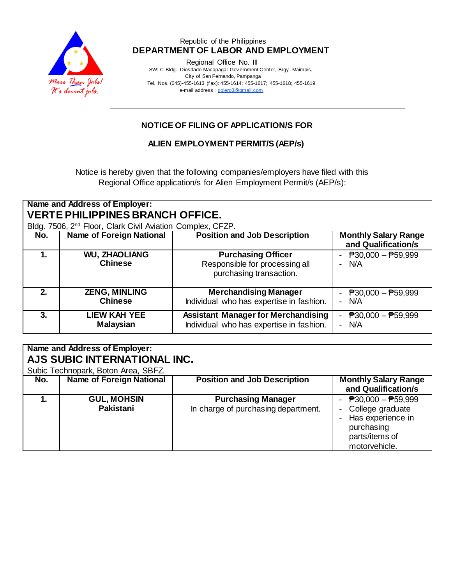

### Republic of the Philippines  **DEPARTMENT OF LABOR AND EMPLOYMENT**

Regional Office No. III

 SWLC Bldg., Diosdado Macapagal Gov ernment Center, Brgy . Maimpis, City of San Fernando, Pampanga Tel. Nos. (045)-455-1613 (f ax): 455-1614; 455-1617; 455-1618; 455-1619 e-mail address [: dolero3@gmail.com](mailto:dolero3@gmail.com)

## **NOTICE OF FILING OF APPLICATION/S FOR**

## **ALIEN EMPLOYMENT PERMIT/S (AEP/s)**

Notice is hereby given that the following companies/employers have filed with this Regional Office application/s for Alien Employment Permit/s (AEP/s):

| Name and Address of Employer:<br><b>VERTE PHILIPPINES BRANCH OFFICE.</b><br>Bldg. 7506, 2 <sup>nd</sup> Floor, Clark Civil Aviation Complex, CFZP. |                                         |                                                                                        |                                                                        |  |  |
|----------------------------------------------------------------------------------------------------------------------------------------------------|-----------------------------------------|----------------------------------------------------------------------------------------|------------------------------------------------------------------------|--|--|
| No.                                                                                                                                                | <b>Name of Foreign National</b>         | <b>Position and Job Description</b>                                                    | <b>Monthly Salary Range</b><br>and Qualification/s                     |  |  |
| 1.                                                                                                                                                 | <b>WU, ZHAOLIANG</b><br><b>Chinese</b>  | <b>Purchasing Officer</b><br>Responsible for processing all<br>purchasing transaction. | - $\overline{P}30,000 - \overline{P}59,999$<br>- N/A                   |  |  |
| 2.                                                                                                                                                 | <b>ZENG, MINLING</b><br><b>Chinese</b>  | <b>Merchandising Manager</b><br>Individual who has expertise in fashion.               | - $P30,000 - P59,999$<br>- N/A                                         |  |  |
| 3.                                                                                                                                                 | <b>LIEW KAH YEE</b><br><b>Malaysian</b> | <b>Assistant Manager for Merchandising</b><br>Individual who has expertise in fashion. | $\overline{P}30,000 - \overline{P}59,999$<br>$\blacksquare$<br>$- W A$ |  |  |

| Name and Address of Employer:       |                                        |                                                                  |                                                                                                                                       |  |  |  |  |
|-------------------------------------|----------------------------------------|------------------------------------------------------------------|---------------------------------------------------------------------------------------------------------------------------------------|--|--|--|--|
| AJS SUBIC INTERNATIONAL INC.        |                                        |                                                                  |                                                                                                                                       |  |  |  |  |
| Subic Technopark, Boton Area, SBFZ. |                                        |                                                                  |                                                                                                                                       |  |  |  |  |
| No.                                 | <b>Name of Foreign National</b>        | <b>Position and Job Description</b>                              | <b>Monthly Salary Range</b><br>and Qualification/s                                                                                    |  |  |  |  |
|                                     | <b>GUL, MOHSIN</b><br><b>Pakistani</b> | <b>Purchasing Manager</b><br>In charge of purchasing department. | - $\overline{P}30,000 - \overline{P}59,999$<br>College graduate<br>Has experience in<br>purchasing<br>parts/items of<br>motorvehicle. |  |  |  |  |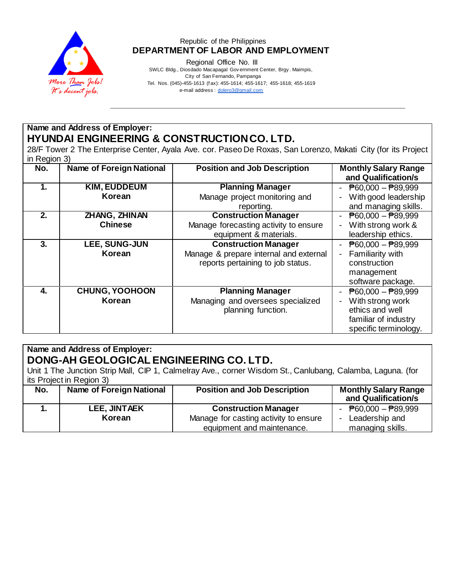

### Republic of the Philippines  **DEPARTMENT OF LABOR AND EMPLOYMENT**

Regional Office No. III

 SWLC Bldg., Diosdado Macapagal Gov ernment Center, Brgy . Maimpis, City of San Fernando, Pampanga Tel. Nos. (045)-455-1613 (f ax): 455-1614; 455-1617; 455-1618; 455-1619 e-mail address [: dolero3@gmail.com](mailto:dolero3@gmail.com)

# **Name and Address of Employer: HYUNDAI ENGINEERING & CONSTRUCTION CO. LTD.**

28/F Tower 2 The Enterprise Center, Ayala Ave. cor. Paseo De Roxas, San Lorenzo, Makati City (for its Project in Region 3)

| No. | <b>Name of Foreign National</b> | <b>Position and Job Description</b>    | <b>Monthly Salary Range</b><br>and Qualification/s |
|-----|---------------------------------|----------------------------------------|----------------------------------------------------|
| 1.  | <b>KIM, EUDDEUM</b>             | <b>Planning Manager</b>                | $\overline{P}60,000 - \overline{P}89,999$          |
|     | Korean                          | Manage project monitoring and          | With good leadership                               |
|     |                                 | reporting.                             | and managing skills.                               |
| 2.  | ZHANG, ZHINAN                   | <b>Construction Manager</b>            | $\overline{P}60,000 - \overline{P}89,999$          |
|     | <b>Chinese</b>                  | Manage forecasting activity to ensure  | With strong work &                                 |
|     |                                 | equipment & materials.                 | leadership ethics.                                 |
| 3.  | LEE, SUNG-JUN                   | <b>Construction Manager</b>            | $\overline{P}60,000 - \overline{P}89,999$          |
|     | Korean                          | Manage & prepare internal and external | Familiarity with                                   |
|     |                                 | reports pertaining to job status.      | construction                                       |
|     |                                 |                                        | management                                         |
|     |                                 |                                        | software package.                                  |
| 4.  | <b>CHUNG, YOOHOON</b>           | <b>Planning Manager</b>                | $\overline{P}60,000 - \overline{P}89,999$          |
|     | Korean                          | Managing and oversees specialized      | With strong work                                   |
|     |                                 | planning function.                     | ethics and well                                    |
|     |                                 |                                        | familiar of industry                               |
|     |                                 |                                        | specific terminology.                              |

# **Name and Address of Employer: DONG-AH GEOLOGICAL ENGINEERING CO. LTD.**

Unit 1 The Junction Strip Mall, CIP 1, Calmelray Ave., corner Wisdom St., Canlubang, Calamba, Laguna. (for its Project in Region 3)<br> **No.** | **Name of Foreign National No.** | Name of Foreign National | Position and Job Description | Monthly Salary Range **and Qualification/s 1. LEE, JINTAEK Korean Construction Manager** Manage for casting activity to ensure equipment and maintenance. - ₱60,000 – ₱89,999 - Leadership and managing skills.